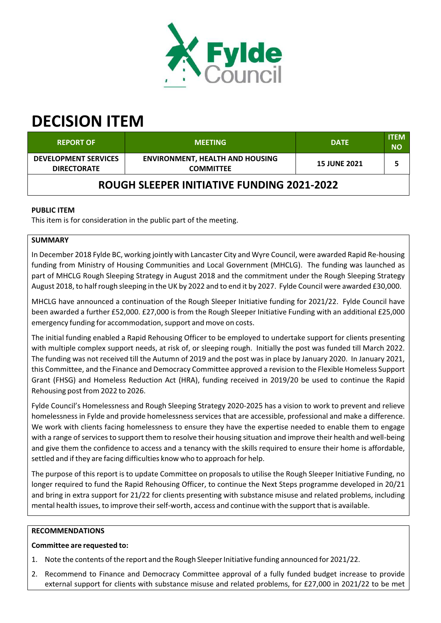

# **DECISION ITEM**

| <b>REPORT OF</b>                                  | <b>MEETING</b>                                             | <b>DATE</b>         | <b>ITEM</b><br><b>NO</b> |  |  |
|---------------------------------------------------|------------------------------------------------------------|---------------------|--------------------------|--|--|
| <b>DEVELOPMENT SERVICES</b><br><b>DIRECTORATE</b> | <b>ENVIRONMENT, HEALTH AND HOUSING</b><br><b>COMMITTEE</b> | <b>15 JUNE 2021</b> |                          |  |  |
| <b>ROUGH SLEEPER INITIATIVE FUNDING 2021-2022</b> |                                                            |                     |                          |  |  |

# **PUBLIC ITEM**

This item is for consideration in the public part of the meeting.

# **SUMMARY**

In December 2018 Fylde BC, working jointly with Lancaster City and Wyre Council, were awarded Rapid Re‐housing funding from Ministry of Housing Communities and Local Government (MHCLG). The funding was launched as part of MHCLG Rough Sleeping Strategy in August 2018 and the commitment under the Rough Sleeping Strategy August 2018, to halfrough sleeping in the UK by 2022 and to end it by 2027. Fylde Council were awarded £30,000.

MHCLG have announced a continuation of the Rough Sleeper Initiative funding for 2021/22. Fylde Council have been awarded a further £52,000. £27,000 is from the Rough Sleeper Initiative Funding with an additional £25,000 emergency funding for accommodation, support and move on costs.

The initial funding enabled a Rapid Rehousing Officer to be employed to undertake support for clients presenting with multiple complex support needs, at risk of, or sleeping rough. Initially the post was funded till March 2022. The funding was not received till the Autumn of 2019 and the post was in place by January 2020. In January 2021, this Committee, and the Finance and Democracy Committee approved a revision to the Flexible Homeless Support Grant (FHSG) and Homeless Reduction Act (HRA), funding received in 2019/20 be used to continue the Rapid Rehousing post from 2022 to 2026.

Fylde Council's Homelessness and Rough Sleeping Strategy 2020‐2025 has a vision to work to prevent and relieve homelessness in Fylde and provide homelessness services that are accessible, professional and make a difference. We work with clients facing homelessness to ensure they have the expertise needed to enable them to engage with a range of services to support them to resolve their housing situation and improve their health and well-being and give them the confidence to access and a tenancy with the skills required to ensure their home is affordable, settled and if they are facing difficulties know who to approach for help.

The purpose of this report is to update Committee on proposals to utilise the Rough Sleeper Initiative Funding, no longer required to fund the Rapid Rehousing Officer, to continue the Next Steps programme developed in 20/21 and bring in extra support for 21/22 for clients presenting with substance misuse and related problems, including mental health issues, to improve their self-worth, access and continue with the support that is available.

## **RECOMMENDATIONS**

## **Committee are requested to:**

- 1. Note the contents of the report and the Rough Sleeper Initiative funding announced for 2021/22.
- 2. Recommend to Finance and Democracy Committee approval of a fully funded budget increase to provide external support for clients with substance misuse and related problems, for £27,000 in 2021/22 to be met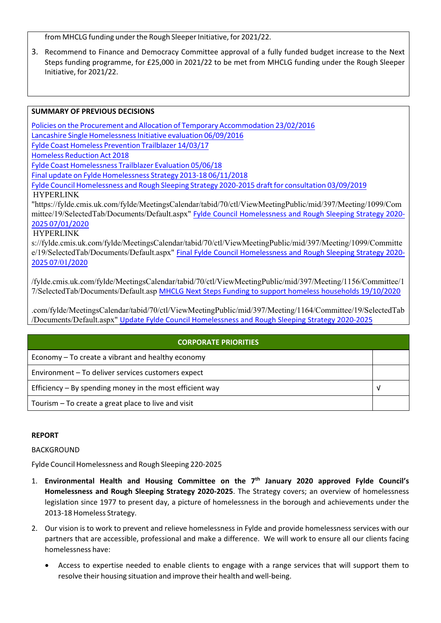from MHCLG funding under the Rough Sleeper Initiative, for 2021/22.

3. Recommend to Finance and Democracy Committee approval of a fully funded budget increase to the Next Steps funding programme, for £25,000 in 2021/22 to be met from MHCLG funding under the Rough Sleeper Initiative, for 2021/22.

#### **SUMMARY OF PREVIOUS DECISIONS**

Policies on the Procurement and Allocation of Temporary Accommodation 23/02/2016 Lancashire Single Homelessness Initiative evaluation 06/09/2016 Fylde Coast Homeless Prevention Trailblazer 14/03/17 Homeless Reduction Act 2018 Fylde Coast Homelessness Trailblazer Evaluation 05/06/18 Final update on Fylde Homelessness Strategy 2013‐18 06/11/2018 Fylde Council Homelessness and Rough Sleeping Strategy 2020‐2015 draft for consultation 03/09/2019 HYPERLINK "https://fylde.cmis.uk.com/fylde/MeetingsCalendar/tabid/70/ctl/ViewMeetingPublic/mid/397/Meeting/1099/Com mittee/19/SelectedTab/Documents/Default.aspx" Fylde Council Homelessness and Rough Sleeping Strategy 2020‐ 2025 07/01/2020

#### **HYPERLINK**

s://fylde.cmis.uk.com/fylde/MeetingsCalendar/tabid/70/ctl/ViewMeetingPublic/mid/397/Meeting/1099/Committe e/19/SelectedTab/Documents/Default.aspx" Final Fylde Council Homelessness and Rough Sleeping Strategy 2020-2025 07/01/2020

/fylde.cmis.uk.com/fylde/MeetingsCalendar/tabid/70/ctl/ViewMeetingPublic/mid/397/Meeting/1156/Committee/1 7/SelectedTab/Documents/Default.asp MHCLG Next Steps Funding to support homeless households 19/10/2020

.com/fylde/MeetingsCalendar/tabid/70/ctl/ViewMeetingPublic/mid/397/Meeting/1164/Committee/19/SelectedTab /Documents/Default.aspx" Update Fylde Council Homelessness and Rough Sleeping Strategy 2020‐2025

#### **CORPORATE PRIORITIES**

Economy – To create a vibrant and healthy economy

Environment – To deliver services customers expect

Efficiency – By spending money in the most efficient way  $\vert \vee \vert$ 

Tourism – To create a great place to live and visit

#### **REPORT**

BACKGROUND

Fylde Council Homelessness and Rough Sleeping 220‐2025

- 1. **Environmental Health and Housing Committee on the 7 th January 2020 approved Fylde Council's Homelessness and Rough Sleeping Strategy 2020‐2025**. The Strategy covers; an overview of homelessness legislation since 1977 to present day, a picture of homelessness in the borough and achievements under the 2013‐18 Homeless Strategy.
- 2. Our vision is to work to prevent and relieve homelessness in Fylde and provide homelessness services with our partners that are accessible, professional and make a difference. We will work to ensure all our clients facing homelessness have:
	- Access to expertise needed to enable clients to engage with a range services that will support them to resolve their housing situation and improve their health and well‐being.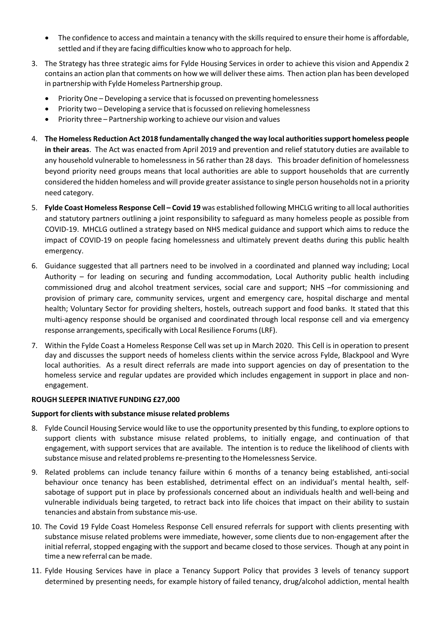- The confidence to access and maintain a tenancy with the skills required to ensure their home is affordable, settled and if they are facing difficulties know who to approach for help.
- 3. The Strategy has three strategic aims for Fylde Housing Services in order to achieve this vision and Appendix 2 contains an action plan that comments on how we will deliver these aims. Then action plan has been developed in partnership with Fylde Homeless Partnership group.
	- Priority One Developing a service that isfocussed on preventing homelessness
	- Priority two Developing a service that isfocussed on relieving homelessness
	- Priority three Partnership working to achieve our vision and values
- 4. **The Homeless Reduction Act 2018 fundamentally changed the way local authoritiessupport homeless people in their areas**. The Act was enacted from April 2019 and prevention and relief statutory duties are available to any household vulnerable to homelessness in 56 rather than 28 days. This broader definition of homelessness beyond priority need groups means that local authorities are able to support households that are currently considered the hidden homeless and will provide greater assistance to single person households not in a priority need category.
- 5. **Fylde Coast Homeless Response Cell – Covid 19** was established following MHCLG writing to all local authorities and statutory partners outlining a joint responsibility to safeguard as many homeless people as possible from COVID‐19. MHCLG outlined a strategy based on NHS medical guidance and support which aims to reduce the impact of COVID‐19 on people facing homelessness and ultimately prevent deaths during this public health emergency.
- 6. Guidance suggested that all partners need to be involved in a coordinated and planned way including; Local Authority – for leading on securing and funding accommodation, Local Authority public health including commissioned drug and alcohol treatment services, social care and support; NHS –for commissioning and provision of primary care, community services, urgent and emergency care, hospital discharge and mental health; Voluntary Sector for providing shelters, hostels, outreach support and food banks. It stated that this multi-agency response should be organised and coordinated through local response cell and via emergency response arrangements, specifically with Local Resilience Forums (LRF).
- 7. Within the Fylde Coast a Homeless Response Cell was set up in March 2020. This Cell is in operation to present day and discusses the support needs of homeless clients within the service across Fylde, Blackpool and Wyre local authorities. As a result direct referrals are made into support agencies on day of presentation to the homeless service and regular updates are provided which includes engagement in support in place and non‐ engagement.

#### **ROUGH SLEEPER INIATIVE FUNDING £27,000**

#### **Supportfor clients with substance misuse related problems**

- 8. Fylde Council Housing Service would like to use the opportunity presented by this funding, to explore options to support clients with substance misuse related problems, to initially engage, and continuation of that engagement, with support services that are available. The intention is to reduce the likelihood of clients with substance misuse and related problems re-presenting to the Homelessness Service.
- 9. Related problems can include tenancy failure within 6 months of a tenancy being established, anti-social behaviour once tenancy has been established, detrimental effect on an individual's mental health, self‐ sabotage of support put in place by professionals concerned about an individuals health and well-being and vulnerable individuals being targeted, to retract back into life choices that impact on their ability to sustain tenancies and abstain from substance mis‐use.
- 10. The Covid 19 Fylde Coast Homeless Response Cell ensured referrals for support with clients presenting with substance misuse related problems were immediate, however, some clients due to non‐engagement after the initial referral, stopped engaging with the support and became closed to those services. Though at any point in time a new referral can be made.
- 11. Fylde Housing Services have in place a Tenancy Support Policy that provides 3 levels of tenancy support determined by presenting needs, for example history of failed tenancy, drug/alcohol addiction, mental health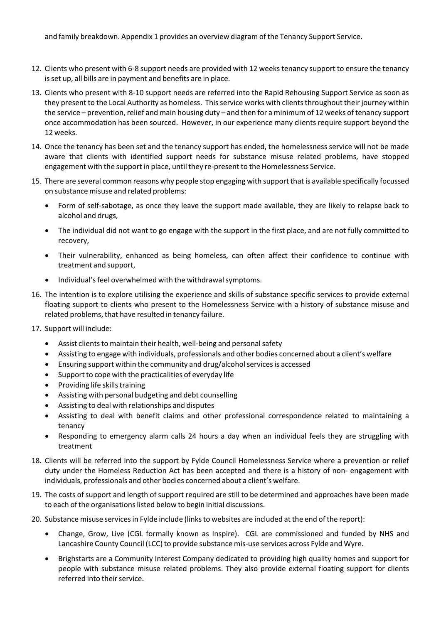and family breakdown. Appendix 1 provides an overview diagram of the Tenancy Support Service.

- 12. Clients who present with 6‐8 support needs are provided with 12 weeks tenancy support to ensure the tenancy isset up, all bills are in payment and benefits are in place.
- 13. Clients who present with 8‐10 support needs are referred into the Rapid Rehousing Support Service as soon as they present to the Local Authority as homeless. This service works with clients throughout their journey within the service – prevention, relief and main housing duty – and then for a minimum of 12 weeks of tenancy support once accommodation has been sourced. However, in our experience many clients require support beyond the 12 weeks.
- 14. Once the tenancy has been set and the tenancy support has ended, the homelessness service will not be made aware that clients with identified support needs for substance misuse related problems, have stopped engagement with the support in place, until they re-present to the Homelessness Service.
- 15. There are several common reasons why people stop engaging with support that is available specifically focussed on substance misuse and related problems:
	- Form of self‐sabotage, as once they leave the support made available, they are likely to relapse back to alcohol and drugs,
	- The individual did not want to go engage with the support in the first place, and are not fully committed to recovery,
	- Their vulnerability, enhanced as being homeless, can often affect their confidence to continue with treatment and support,
	- Individual's feel overwhelmed with the withdrawal symptoms.
- 16. The intention is to explore utilising the experience and skills of substance specific services to provide external floating support to clients who present to the Homelessness Service with a history of substance misuse and related problems, that have resulted in tenancy failure.
- 17. Support will include:
	- Assist clients to maintain their health, well-being and personal safety
	- Assisting to engage with individuals, professionals and other bodies concerned about a client's welfare
	- Ensuring support within the community and drug/alcoholservicesis accessed
	- Support to cope with the practicalities of everyday life
	- Providing life skills training
	- Assisting with personal budgeting and debt counselling
	- Assisting to deal with relationships and disputes
	- Assisting to deal with benefit claims and other professional correspondence related to maintaining a tenancy
	- Responding to emergency alarm calls 24 hours a day when an individual feels they are struggling with treatment
- 18. Clients will be referred into the support by Fylde Council Homelessness Service where a prevention or relief duty under the Homeless Reduction Act has been accepted and there is a history of non‐ engagement with individuals, professionals and other bodies concerned about a client's welfare.
- 19. The costs of support and length of support required are still to be determined and approaches have been made to each of the organisations listed below to begin initial discussions.
- 20. Substance misuse services in Fylde include (links to websites are included at the end of the report):
	- Change, Grow, Live (CGL formally known as Inspire). CGL are commissioned and funded by NHS and Lancashire County Council (LCC) to provide substance mis‐use services across Fylde and Wyre.
	- Brighstarts are a Community Interest Company dedicated to providing high quality homes and support for people with substance misuse related problems. They also provide external floating support for clients referred into their service.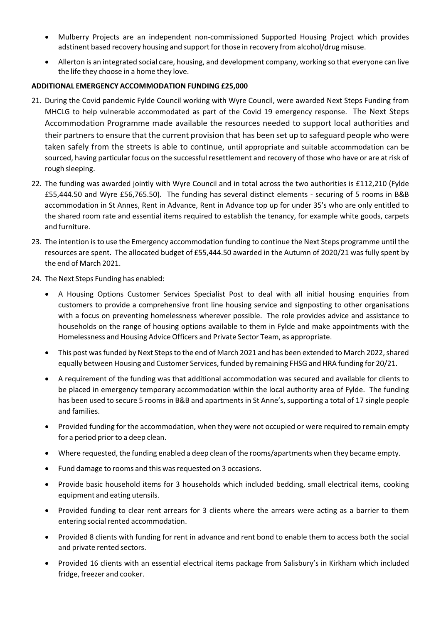- Mulberry Projects are an independent non‐commissioned Supported Housing Project which provides adstinent based recovery housing and support for those in recovery from alcohol/drug misuse.
- Allerton is an integrated social care, housing, and development company, working so that everyone can live the life they choose in a home they love.

## **ADDITIONAL EMERGENCY ACCOMMODATION FUNDING £25,000**

- 21. During the Covid pandemic Fylde Council working with Wyre Council, were awarded Next Steps Funding from MHCLG to help vulnerable accommodated as part of the Covid 19 emergency response. The Next Steps Accommodation Programme made available the resources needed to support local authorities and their partners to ensure that the current provision that has been set up to safeguard people who were taken safely from the streets is able to continue, until appropriate and suitable accommodation can be sourced, having particular focus on the successful resettlement and recovery of those who have or are at risk of rough sleeping.
- 22. The funding was awarded jointly with Wyre Council and in total across the two authorities is £112,210 (Fylde £55,444.50 and Wyre £56,765.50). The funding has several distinct elements ‐ securing of 5 rooms in B&B accommodation in St Annes, Rent in Advance, Rent in Advance top up for under 35's who are only entitled to the shared room rate and essential items required to establish the tenancy, for example white goods, carpets and furniture.
- 23. The intention isto use the Emergency accommodation funding to continue the Next Steps programme until the resources are spent. The allocated budget of £55,444.50 awarded in the Autumn of 2020/21 was fully spent by the end of March 2021.
- 24. The Next Steps Funding has enabled:
	- A Housing Options Customer Services Specialist Post to deal with all initial housing enquiries from customers to provide a comprehensive front line housing service and signposting to other organisations with a focus on preventing homelessness wherever possible. The role provides advice and assistance to households on the range of housing options available to them in Fylde and make appointments with the Homelessness and Housing Advice Officers and Private Sector Team, as appropriate.
	- This post was funded by Next Steps to the end of March 2021 and has been extended to March 2022, shared equally between Housing and Customer Services, funded by remaining FHSG and HRA funding for 20/21.
	- A requirement of the funding was that additional accommodation was secured and available for clients to be placed in emergency temporary accommodation within the local authority area of Fylde. The funding has been used to secure 5 rooms in B&B and apartments in St Anne's, supporting a total of 17 single people and families.
	- Provided funding for the accommodation, when they were not occupied or were required to remain empty for a period prior to a deep clean.
	- Where requested, the funding enabled a deep clean of the rooms/apartments when they became empty.
	- Fund damage to rooms and this was requested on 3 occasions.
	- Provide basic household items for 3 households which included bedding, small electrical items, cooking equipment and eating utensils.
	- Provided funding to clear rent arrears for 3 clients where the arrears were acting as a barrier to them entering social rented accommodation.
	- Provided 8 clients with funding for rent in advance and rent bond to enable them to access both the social and private rented sectors.
	- Provided 16 clients with an essential electrical items package from Salisbury's in Kirkham which included fridge, freezer and cooker.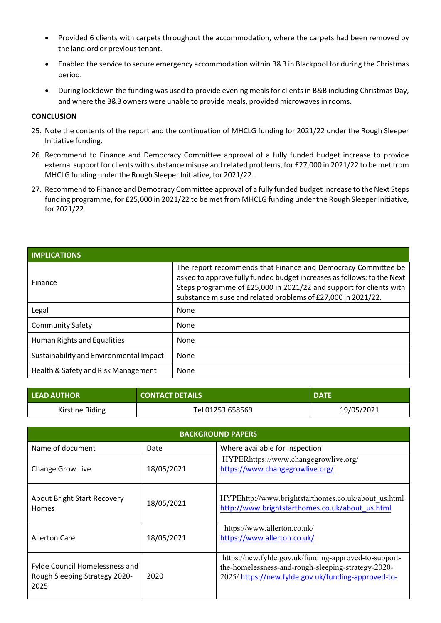- Provided 6 clients with carpets throughout the accommodation, where the carpets had been removed by the landlord or previous tenant.
- Enabled the service to secure emergency accommodation within B&B in Blackpool for during the Christmas period.
- During lockdown the funding was used to provide evening mealsfor clientsin B&B including Christmas Day, and where the B&B owners were unable to provide meals, provided microwavesin rooms.

#### **CONCLUSION**

- 25. Note the contents of the report and the continuation of MHCLG funding for 2021/22 under the Rough Sleeper Initiative funding.
- 26. Recommend to Finance and Democracy Committee approval of a fully funded budget increase to provide external support for clients with substance misuse and related problems, for £27,000 in 2021/22 to be met from MHCLG funding under the Rough Sleeper Initiative, for 2021/22.
- 27. Recommend to Finance and Democracy Committee approval of a fully funded budget increase to the Next Steps funding programme, for £25,000 in 2021/22 to be met from MHCLG funding under the Rough Sleeper Initiative, for 2021/22.

| <b>IMPLICATIONS</b>                     |                                                                                                                                                                                                                                                                               |
|-----------------------------------------|-------------------------------------------------------------------------------------------------------------------------------------------------------------------------------------------------------------------------------------------------------------------------------|
| Finance                                 | The report recommends that Finance and Democracy Committee be<br>asked to approve fully funded budget increases as follows: to the Next<br>Steps programme of £25,000 in 2021/22 and support for clients with<br>substance misuse and related problems of £27,000 in 2021/22. |
| Legal                                   | None                                                                                                                                                                                                                                                                          |
| <b>Community Safety</b>                 | None                                                                                                                                                                                                                                                                          |
| Human Rights and Equalities             | None                                                                                                                                                                                                                                                                          |
| Sustainability and Environmental Impact | None                                                                                                                                                                                                                                                                          |
| Health & Safety and Risk Management     | None                                                                                                                                                                                                                                                                          |

| <b>LEAD AUTHOR</b> | <b>CONTACT DETAILS</b> | <b>DATE</b> |
|--------------------|------------------------|-------------|
| Kirstine Riding    | Tel 01253 658569       | 19/05/2021  |

| <b>BACKGROUND PAPERS</b>                                                |            |                                                                                                                                                                   |  |  |
|-------------------------------------------------------------------------|------------|-------------------------------------------------------------------------------------------------------------------------------------------------------------------|--|--|
| Name of document                                                        | Date       | Where available for inspection                                                                                                                                    |  |  |
| Change Grow Live                                                        | 18/05/2021 | HYPERhttps://www.changegrowlive.org/<br>https://www.changegrowlive.org/                                                                                           |  |  |
| <b>About Bright Start Recovery</b><br>Homes                             | 18/05/2021 | HYPEhttp://www.brightstarthomes.co.uk/about us.html<br>http://www.brightstarthomes.co.uk/about_us.html                                                            |  |  |
| <b>Allerton Care</b>                                                    | 18/05/2021 | https://www.allerton.co.uk/<br>https://www.allerton.co.uk/                                                                                                        |  |  |
| Fylde Council Homelessness and<br>Rough Sleeping Strategy 2020-<br>2025 | 2020       | https://new.fylde.gov.uk/funding-approved-to-support-<br>the-homelessness-and-rough-sleeping-strategy-2020-<br>2025/https://new.fylde.gov.uk/funding-approved-to- |  |  |